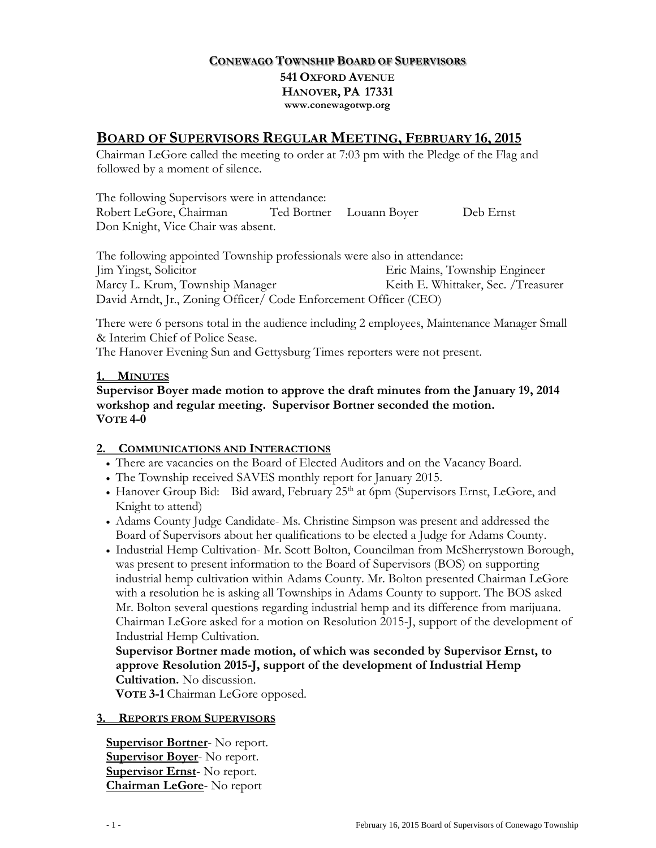## **CONEWAGO TOWNSHIP BOARD OF SUPERVISORS 541 OXFORD AVENUE HANOVER, PA 17331 www.conewagotwp.org**

# **BOARD OF SUPERVISORS REGULAR MEETING, FEBRUARY 16, 2015**

Chairman LeGore called the meeting to order at 7:03 pm with the Pledge of the Flag and followed by a moment of silence.

The following Supervisors were in attendance: Robert LeGore, Chairman Ted Bortner Louann Boyer Deb Ernst Don Knight, Vice Chair was absent.

The following appointed Township professionals were also in attendance: Jim Yingst, Solicitor Eric Mains, Township Engineer Marcy L. Krum, Township Manager Keith E. Whittaker, Sec. /Treasurer David Arndt, Jr., Zoning Officer/ Code Enforcement Officer (CEO)

There were 6 persons total in the audience including 2 employees, Maintenance Manager Small & Interim Chief of Police Sease.

The Hanover Evening Sun and Gettysburg Times reporters were not present.

## **1. MINUTES**

**Supervisor Boyer made motion to approve the draft minutes from the January 19, 2014 workshop and regular meeting. Supervisor Bortner seconded the motion. VOTE 4-0**

### **2. COMMUNICATIONS AND INTERACTIONS**

- There are vacancies on the Board of Elected Auditors and on the Vacancy Board.
- The Township received SAVES monthly report for January 2015.
- Hanover Group Bid: Bid award, February 25<sup>th</sup> at 6pm (Supervisors Ernst, LeGore, and Knight to attend)
- Adams County Judge Candidate- Ms. Christine Simpson was present and addressed the Board of Supervisors about her qualifications to be elected a Judge for Adams County.
- Industrial Hemp Cultivation- Mr. Scott Bolton, Councilman from McSherrystown Borough, was present to present information to the Board of Supervisors (BOS) on supporting industrial hemp cultivation within Adams County. Mr. Bolton presented Chairman LeGore with a resolution he is asking all Townships in Adams County to support. The BOS asked Mr. Bolton several questions regarding industrial hemp and its difference from marijuana. Chairman LeGore asked for a motion on Resolution 2015-J, support of the development of Industrial Hemp Cultivation.

**Supervisor Bortner made motion, of which was seconded by Supervisor Ernst, to approve Resolution 2015-J, support of the development of Industrial Hemp Cultivation.** No discussion.

**VOTE 3-1** Chairman LeGore opposed.

### **3. REPORTS FROM SUPERVISORS**

**Supervisor Bortner**- No report. **Supervisor Boyer-** No report. **Supervisor Ernst**- No report. **Chairman LeGore**- No report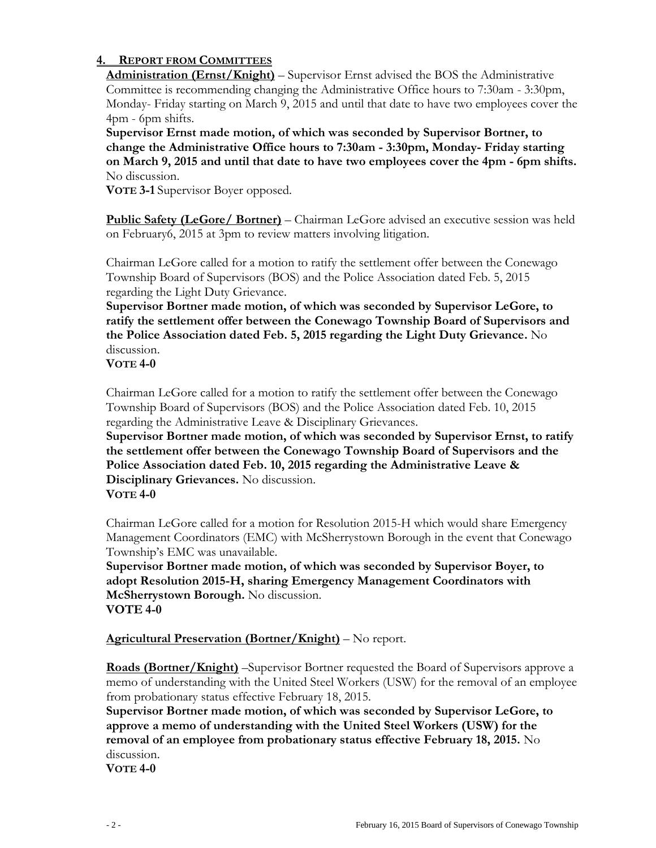### **4. REPORT FROM COMMITTEES**

**Administration (Ernst/Knight)** – Supervisor Ernst advised the BOS the Administrative Committee is recommending changing the Administrative Office hours to 7:30am - 3:30pm, Monday- Friday starting on March 9, 2015 and until that date to have two employees cover the 4pm - 6pm shifts.

**Supervisor Ernst made motion, of which was seconded by Supervisor Bortner, to change the Administrative Office hours to 7:30am - 3:30pm, Monday- Friday starting on March 9, 2015 and until that date to have two employees cover the 4pm - 6pm shifts.** No discussion.

**VOTE 3-1** Supervisor Boyer opposed.

**Public Safety (LeGore/ Bortner)** – Chairman LeGore advised an executive session was held on February6, 2015 at 3pm to review matters involving litigation.

Chairman LeGore called for a motion to ratify the settlement offer between the Conewago Township Board of Supervisors (BOS) and the Police Association dated Feb. 5, 2015 regarding the Light Duty Grievance.

**Supervisor Bortner made motion, of which was seconded by Supervisor LeGore, to ratify the settlement offer between the Conewago Township Board of Supervisors and the Police Association dated Feb. 5, 2015 regarding the Light Duty Grievance.** No discussion.

**VOTE 4-0**

Chairman LeGore called for a motion to ratify the settlement offer between the Conewago Township Board of Supervisors (BOS) and the Police Association dated Feb. 10, 2015 regarding the Administrative Leave & Disciplinary Grievances.

**Supervisor Bortner made motion, of which was seconded by Supervisor Ernst, to ratify the settlement offer between the Conewago Township Board of Supervisors and the Police Association dated Feb. 10, 2015 regarding the Administrative Leave & Disciplinary Grievances.** No discussion. **VOTE 4-0**

Chairman LeGore called for a motion for Resolution 2015-H which would share Emergency Management Coordinators (EMC) with McSherrystown Borough in the event that Conewago Township's EMC was unavailable.

**Supervisor Bortner made motion, of which was seconded by Supervisor Boyer, to adopt Resolution 2015-H, sharing Emergency Management Coordinators with McSherrystown Borough.** No discussion. **VOTE 4-0**

**Agricultural Preservation (Bortner/Knight)** – No report.

**Roads (Bortner/Knight)** –Supervisor Bortner requested the Board of Supervisors approve a memo of understanding with the United Steel Workers (USW) for the removal of an employee from probationary status effective February 18, 2015.

**Supervisor Bortner made motion, of which was seconded by Supervisor LeGore, to approve a memo of understanding with the United Steel Workers (USW) for the removal of an employee from probationary status effective February 18, 2015.** No discussion.

**VOTE 4-0**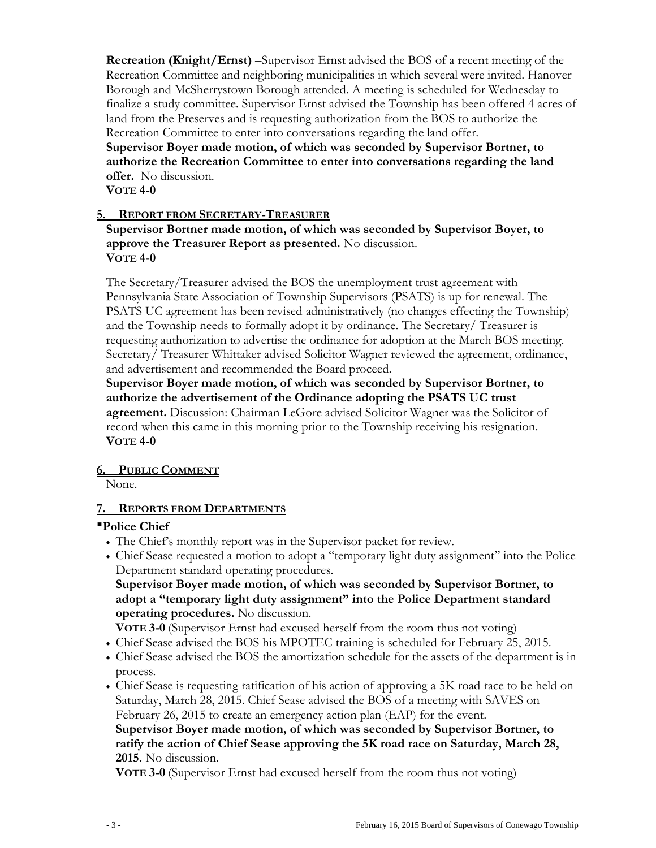**Recreation (Knight/Ernst)** –Supervisor Ernst advised the BOS of a recent meeting of the Recreation Committee and neighboring municipalities in which several were invited. Hanover Borough and McSherrystown Borough attended. A meeting is scheduled for Wednesday to finalize a study committee. Supervisor Ernst advised the Township has been offered 4 acres of land from the Preserves and is requesting authorization from the BOS to authorize the Recreation Committee to enter into conversations regarding the land offer.

**Supervisor Boyer made motion, of which was seconded by Supervisor Bortner, to authorize the Recreation Committee to enter into conversations regarding the land offer.** No discussion.

**VOTE 4-0**

## **5. REPORT FROM SECRETARY-TREASURER**

**Supervisor Bortner made motion, of which was seconded by Supervisor Boyer, to approve the Treasurer Report as presented.** No discussion. **VOTE 4-0**

The Secretary/Treasurer advised the BOS the unemployment trust agreement with Pennsylvania State Association of Township Supervisors (PSATS) is up for renewal. The PSATS UC agreement has been revised administratively (no changes effecting the Township) and the Township needs to formally adopt it by ordinance. The Secretary/ Treasurer is requesting authorization to advertise the ordinance for adoption at the March BOS meeting. Secretary/ Treasurer Whittaker advised Solicitor Wagner reviewed the agreement, ordinance, and advertisement and recommended the Board proceed.

**Supervisor Boyer made motion, of which was seconded by Supervisor Bortner, to authorize the advertisement of the Ordinance adopting the PSATS UC trust agreement.** Discussion: Chairman LeGore advised Solicitor Wagner was the Solicitor of record when this came in this morning prior to the Township receiving his resignation. **VOTE 4-0**

### **6. PUBLIC COMMENT**

None.

### **7. REPORTS FROM DEPARTMENTS**

### **Police Chief**

- The Chief's monthly report was in the Supervisor packet for review.
- Chief Sease requested a motion to adopt a "temporary light duty assignment" into the Police Department standard operating procedures.

**Supervisor Boyer made motion, of which was seconded by Supervisor Bortner, to adopt a "temporary light duty assignment" into the Police Department standard operating procedures.** No discussion.

**VOTE 3-0** (Supervisor Ernst had excused herself from the room thus not voting)

- Chief Sease advised the BOS his MPOTEC training is scheduled for February 25, 2015.
- Chief Sease advised the BOS the amortization schedule for the assets of the department is in process.
- Chief Sease is requesting ratification of his action of approving a 5K road race to be held on Saturday, March 28, 2015. Chief Sease advised the BOS of a meeting with SAVES on February 26, 2015 to create an emergency action plan (EAP) for the event.

**Supervisor Boyer made motion, of which was seconded by Supervisor Bortner, to ratify the action of Chief Sease approving the 5K road race on Saturday, March 28, 2015.** No discussion.

**VOTE 3-0** (Supervisor Ernst had excused herself from the room thus not voting)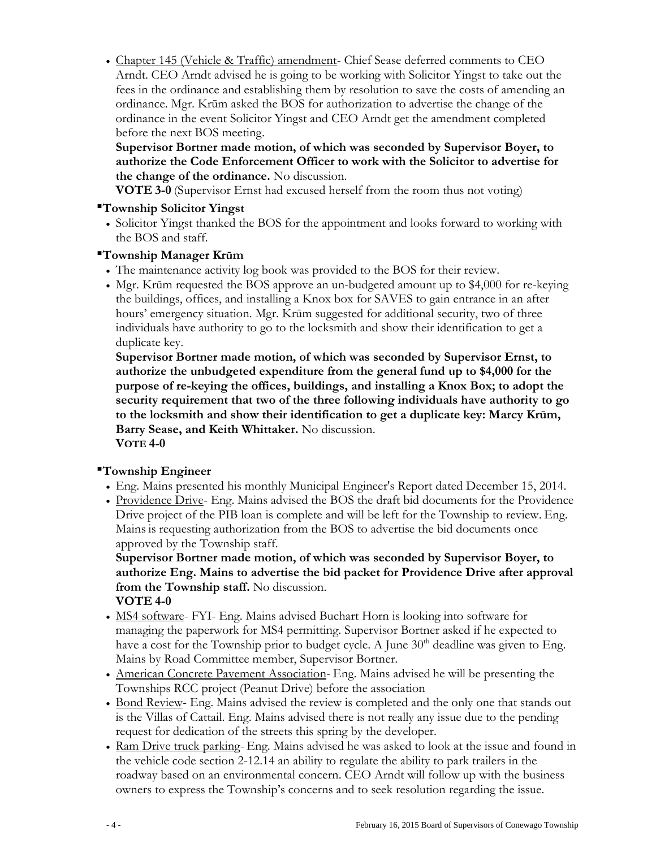Chapter 145 (Vehicle & Traffic) amendment- Chief Sease deferred comments to CEO Arndt. CEO Arndt advised he is going to be working with Solicitor Yingst to take out the fees in the ordinance and establishing them by resolution to save the costs of amending an ordinance. Mgr. Krūm asked the BOS for authorization to advertise the change of the ordinance in the event Solicitor Yingst and CEO Arndt get the amendment completed before the next BOS meeting.

# **Supervisor Bortner made motion, of which was seconded by Supervisor Boyer, to authorize the Code Enforcement Officer to work with the Solicitor to advertise for the change of the ordinance.** No discussion.

**VOTE 3-0** (Supervisor Ernst had excused herself from the room thus not voting)

## **Township Solicitor Yingst**

 Solicitor Yingst thanked the BOS for the appointment and looks forward to working with the BOS and staff.

## **Township Manager Krūm**

- The maintenance activity log book was provided to the BOS for their review.
- Mgr. Krūm requested the BOS approve an un-budgeted amount up to \$4,000 for re-keying the buildings, offices, and installing a Knox box for SAVES to gain entrance in an after hours' emergency situation. Mgr. Krūm suggested for additional security, two of three individuals have authority to go to the locksmith and show their identification to get a duplicate key.

**Supervisor Bortner made motion, of which was seconded by Supervisor Ernst, to authorize the unbudgeted expenditure from the general fund up to \$4,000 for the purpose of re-keying the offices, buildings, and installing a Knox Box; to adopt the security requirement that two of the three following individuals have authority to go to the locksmith and show their identification to get a duplicate key: Marcy Krūm, Barry Sease, and Keith Whittaker.** No discussion. **VOTE 4-0**

# **Township Engineer**

- Eng. Mains presented his monthly Municipal Engineer's Report dated December 15, 2014.
- Providence Drive- Eng. Mains advised the BOS the draft bid documents for the Providence Drive project of the PIB loan is complete and will be left for the Township to review. Eng. Mains is requesting authorization from the BOS to advertise the bid documents once approved by the Township staff.

**Supervisor Bortner made motion, of which was seconded by Supervisor Boyer, to authorize Eng. Mains to advertise the bid packet for Providence Drive after approval from the Township staff.** No discussion. **VOTE 4-0**

- MS4 software- FYI- Eng. Mains advised Buchart Horn is looking into software for managing the paperwork for MS4 permitting. Supervisor Bortner asked if he expected to have a cost for the Township prior to budget cycle. A June  $30<sup>th</sup>$  deadline was given to Eng. Mains by Road Committee member, Supervisor Bortner.
- American Concrete Pavement Association- Eng. Mains advised he will be presenting the Townships RCC project (Peanut Drive) before the association
- Bond Review- Eng. Mains advised the review is completed and the only one that stands out is the Villas of Cattail. Eng. Mains advised there is not really any issue due to the pending request for dedication of the streets this spring by the developer.
- Ram Drive truck parking- Eng. Mains advised he was asked to look at the issue and found in the vehicle code section 2-12.14 an ability to regulate the ability to park trailers in the roadway based on an environmental concern. CEO Arndt will follow up with the business owners to express the Township's concerns and to seek resolution regarding the issue.